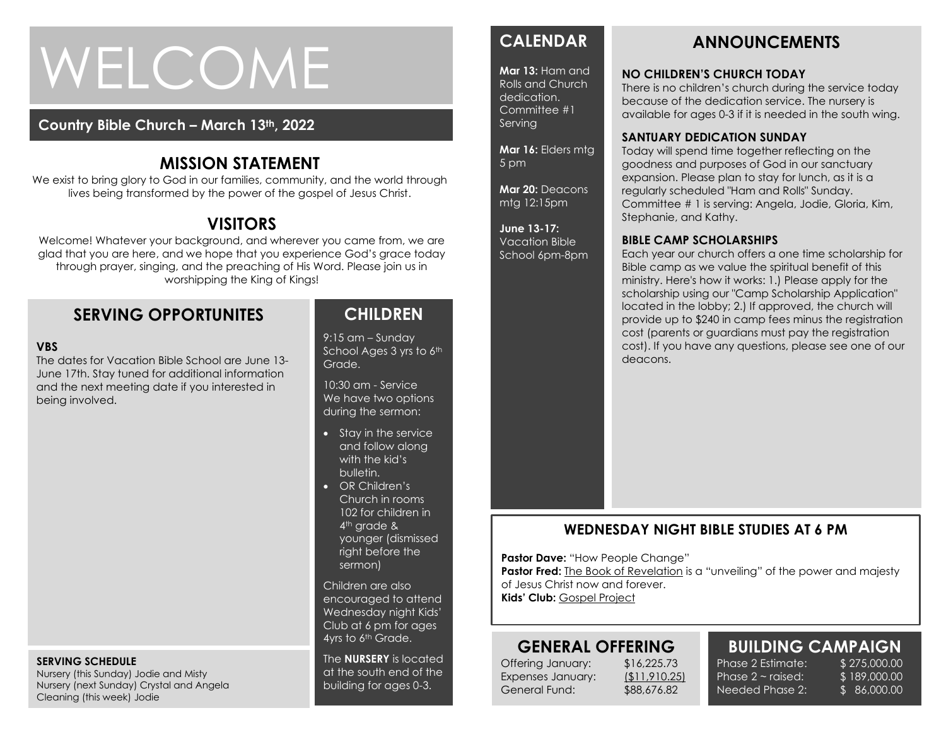# WELCOME

#### **Country Bible Church – March 13th, 2022**

#### **MISSION STATEMENT**

We exist to bring glory to God in our families, community, and the world through lives being transformed by the power of the gospel of Jesus Christ.

### **VISITORS**

Welcome! Whatever your background, and wherever you came from, we are glad that you are here, and we hope that you experience God's grace today through prayer, singing, and the preaching of His Word. Please join us in worshipping the King of Kings!

#### **SERVING OPPORTUNITES**

#### **VBS**

The dates for Vacation Bible School are June 13- June 17th. Stay tuned for additional information and the next meeting date if you interested in being involved.

#### **SERVING SCHEDULE**

Nursery (this Sunday) Jodie and Misty Nursery (next Sunday) Crystal and Angela Cleaning (this week) Jodie

#### **CHILDREN**

9:15 am – Sunday School Ages 3 yrs to 6th Grade.

10:30 am - Service We have two options during the sermon:

- Stay in the service and follow along with the kid's bulletin.
- OR Children's Church in rooms 102 for children in 4<sup>th</sup> grade & younger (dismissed right before the sermon)

Children are also encouraged to attend Wednesday night Kids' Club at 6 pm for ages 4yrs to 6<sup>th</sup> Grade.

The **NURSERY** is located at the south end of the building for ages 0-3.

### **CALENDAR**

**Mar 13:** Ham and Rolls and Church dedication. Committee #1 Serving

**Mar 16:** Elders mtg 5 pm

**Mar 20:** Deacons mtg 12:15pm

**June 13-17:**  Vacation Bible School 6pm-8pm

# **ANNOUNCEMENTS**

#### **NO CHILDREN'S CHURCH TODAY**

There is no children's church during the service today because of the dedication service. The nursery is available for ages 0-3 if it is needed in the south wing.

#### **SANTUARY DEDICATION SUNDAY**

Today will spend time together reflecting on the goodness and purposes of God in our sanctuary expansion. Please plan to stay for lunch, as it is a regularly scheduled "Ham and Rolls" Sunday. Committee # 1 is serving: Angela, Jodie, Gloria, Kim, Stephanie, and Kathy.

#### **BIBLE CAMP SCHOLARSHIPS**

Each year our church offers a one time scholarship for Bible camp as we value the spiritual benefit of this ministry. Here's how it works: 1.) Please apply for the scholarship using our "Camp Scholarship Application" located in the lobby; 2.) If approved, the church will provide up to \$240 in camp fees minus the registration cost (parents or guardians must pay the registration cost). If you have any questions, please see one of our deacons.

#### **WEDNESDAY NIGHT BIBLE STUDIES AT 6 PM**

**Pastor Dave: "How People Change"** 

**Pastor Fred:** The Book of Revelation is a "unveiling" of the power and majesty of Jesus Christ now and forever. **Kids' Club:** Gospel Project

# **GENERAL OFFERING**

Offering January: \$16,225.73 Expenses January: (\$11,910.25) General Fund: \$88,676.82

Phase 2 Estimate: \$ 275,000.00 Phase  $2 \sim$  raised: Needed Phase 2:

**BUILDING CAMPAIGN** \$ 189,000.00 \$ 86,000.00